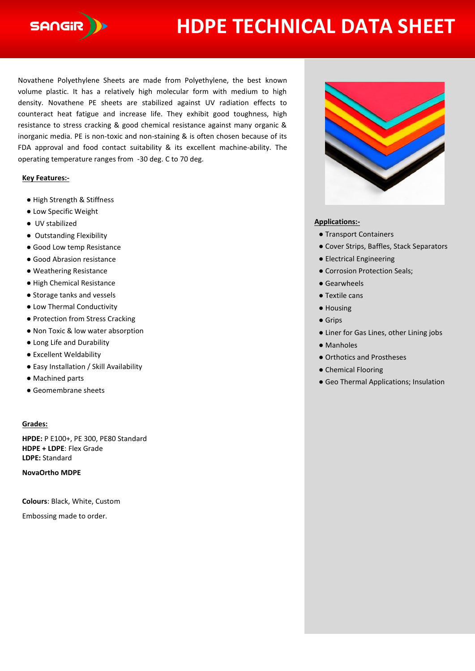

# **HDPE TECHNICAL DATA SHEET**

Novathene Polyethylene Sheets are made from Polyethylene, the best known volume plastic. It has a relatively high molecular form with medium to high density. Novathene PE sheets are stabilized against UV radiation effects to counteract heat fatigue and increase life. They exhibit good toughness, high resistance to stress cracking & good chemical resistance against many organic & inorganic media. PE is non-toxic and non-staining & is often chosen because of its FDA approval and food contact suitability & its excellent machine-ability. The operating temperature ranges from -30 deg. C to 70 deg.

### **Key Features:-**

- High Strength & Stiffness
- Low Specific Weight
- UV stabilized
- Outstanding Flexibility
- Good Low temp Resistance
- Good Abrasion resistance
- Weathering Resistance
- High Chemical Resistance
- Storage tanks and vessels
- Low Thermal Conductivity
- Protection from Stress Cracking
- Non Toxic & low water absorption
- Long Life and Durability
- Excellent Weldability
- Easy Installation / Skill Availability
- Machined parts
- Geomembrane sheets

### **Grades:**

**HPDE:** P E100+, PE 300, PE80 Standard **HDPE + LDPE**: Flex Grade **LDPE:** Standard

**NovaOrtho MDPE**

**Colours**: Black, White, Custom

Embossing made to order.



## **Applications:-**

- Transport Containers
- Cover Strips, Baffles, Stack Separators
- Electrical Engineering
- Corrosion Protection Seals;
- Gearwheels
- Textile cans
- Housing
- Grips
- Liner for Gas Lines, other Lining jobs
- Manholes
- Orthotics and Prostheses
- Chemical Flooring
- Geo Thermal Applications; Insulation